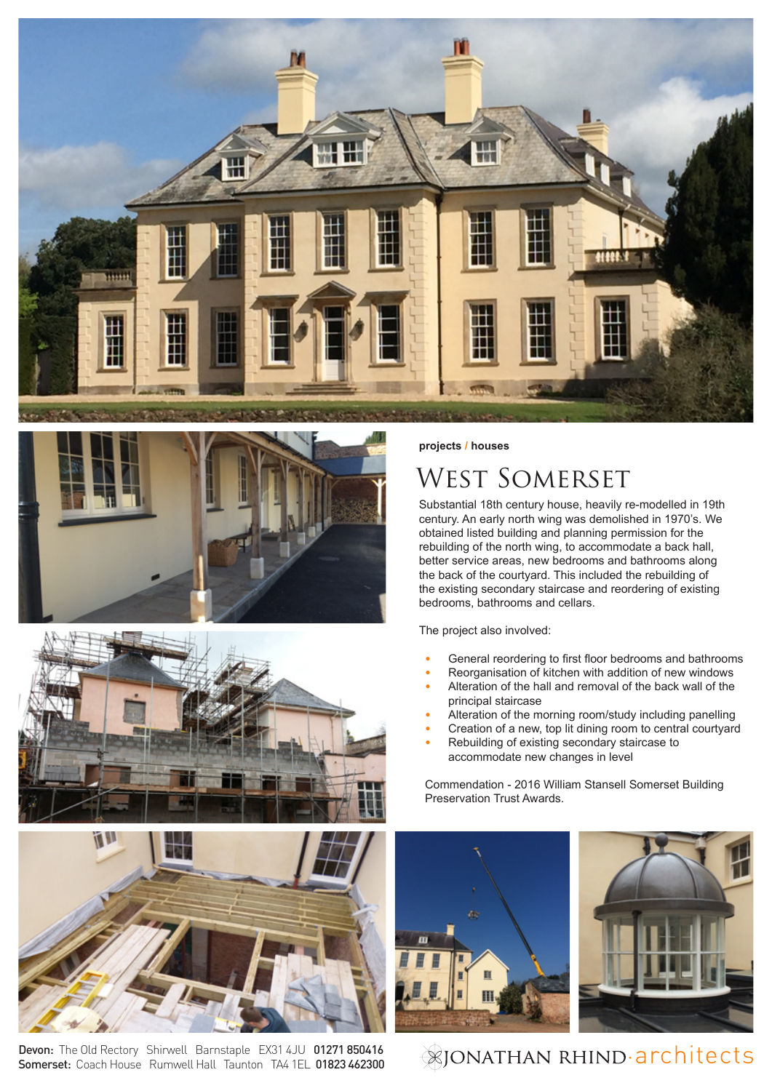





Devon: The Old Rectory Shirwell Barnstaple EX31 4JU 01271 850416 Somerset: Coach House Rumwell Hall Taunton TA4 1EL 01823 462300

## **projects / houses**

## WEST SOMERSET

Substantial 18th century house, heavily re-modelled in 19th century. An early north wing was demolished in 1970's. We obtained listed building and planning permission for the rebuilding of the north wing, to accommodate a back hall, better service areas, new bedrooms and bathrooms along the back of the courtyard. This included the rebuilding of the existing secondary staircase and reordering of existing bedrooms, bathrooms and cellars.

The project also involved:

- **•** General reordering to first floor bedrooms and bathrooms
- **•** Reorganisation of kitchen with addition of new windows
- **•** Alteration of the hall and removal of the back wall of the principal staircase
- **•** Alteration of the morning room/study including panelling
- **•** Creation of a new, top lit dining room to central courtyard
- **•** Rebuilding of existing secondary staircase to accommodate new changes in level

Commendation - 2016 William Stansell Somerset Building Preservation Trust Awards.





## **EXIONATHAN RHIND·architects**